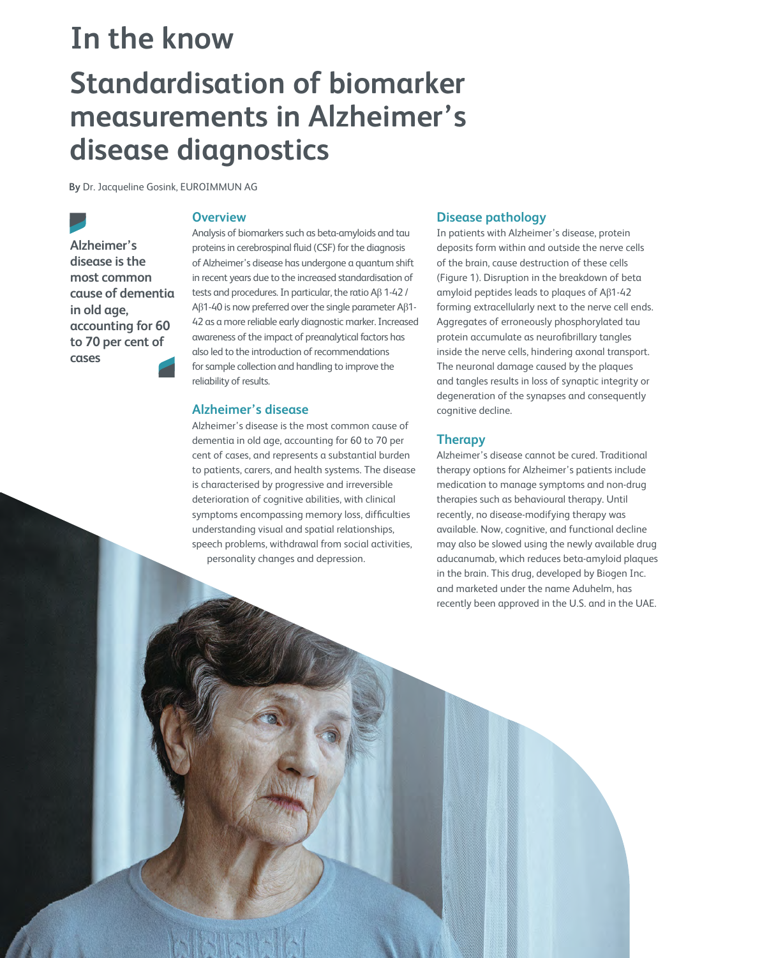# **Standardisation of biomarker measurements in Alzheimer's disease diagnostics In the know**

**By** Dr. Jacqueline Gosink, EUROIMMUN AG

**Alzheimer's disease is the most common cause of dementia in old age, accounting for 60 to 70 per cent of cases**

120 insights.omnia-health.com

## **Overview**

Analysis of biomarkers such as beta-amyloids and tau proteins in cerebrospinal fluid (CSF) for the diagnosis of Alzheimer's disease has undergone a quantum shift in recent years due to the increased standardisation of tests and procedures. In particular, the ratio Aβ 1-42 / Aβ1-40 is now preferred over the single parameter Aβ1- 42 as a more reliable early diagnostic marker. Increased awareness of the impact of preanalytical factors has also led to the introduction of recommendations for sample collection and handling to improve the reliability of results.

## **Alzheimer's disease**

Alzheimer's disease is the most common cause of dementia in old age, accounting for 60 to 70 per cent of cases, and represents a substantial burden to patients, carers, and health systems. The disease is characterised by progressive and irreversible deterioration of cognitive abilities, with clinical symptoms encompassing memory loss, difficulties understanding visual and spatial relationships, speech problems, withdrawal from social activities, personality changes and depression.

## **Disease pathology**

In patients with Alzheimer's disease, protein deposits form within and outside the nerve cells of the brain, cause destruction of these cells (Figure 1). Disruption in the breakdown of beta amyloid peptides leads to plaques of Aβ1-42 forming extracellularly next to the nerve cell ends. Aggregates of erroneously phosphorylated tau protein accumulate as neurofibrillary tangles inside the nerve cells, hindering axonal transport. The neuronal damage caused by the plaques and tangles results in loss of synaptic integrity or degeneration of the synapses and consequently cognitive decline.

## **Therapy**

Alzheimer's disease cannot be cured. Traditional therapy options for Alzheimer's patients include medication to manage symptoms and non-drug therapies such as behavioural therapy. Until recently, no disease-modifying therapy was available. Now, cognitive, and functional decline may also be slowed using the newly available drug aducanumab, which reduces beta-amyloid plaques in the brain. This drug, developed by Biogen Inc. and marketed under the name Aduhelm, has recently been approved in the U.S. and in the UAE.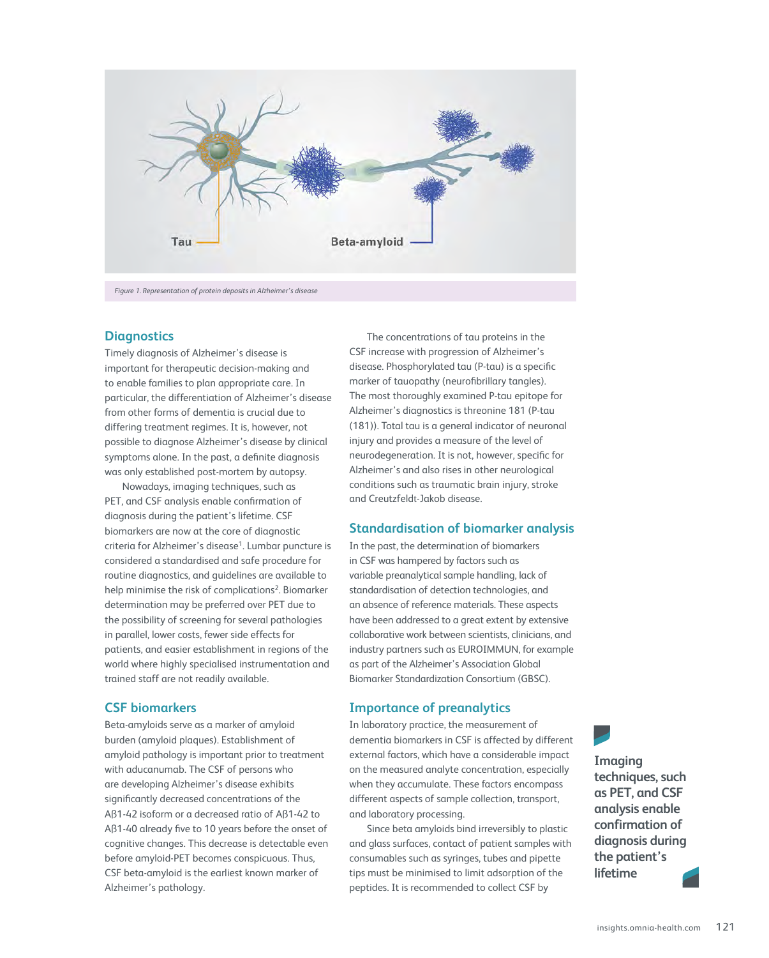

*Figure 1. Representation of protein deposits in Alzheimer's disease*

### **Diagnostics**

Timely diagnosis of Alzheimer's disease is important for therapeutic decision-making and to enable families to plan appropriate care. In particular, the differentiation of Alzheimer's disease from other forms of dementia is crucial due to differing treatment regimes. It is, however, not possible to diagnose Alzheimer's disease by clinical symptoms alone. In the past, a definite diagnosis was only established post-mortem by autopsy.

Nowadays, imaging techniques, such as PET, and CSF analysis enable confirmation of diagnosis during the patient's lifetime. CSF biomarkers are now at the core of diagnostic criteria for Alzheimer's disease<sup>1</sup>. Lumbar puncture is considered a standardised and safe procedure for routine diagnostics, and guidelines are available to help minimise the risk of complications<sup>2</sup>. Biomarker determination may be preferred over PET due to the possibility of screening for several pathologies in parallel, lower costs, fewer side effects for patients, and easier establishment in regions of the world where highly specialised instrumentation and trained staff are not readily available.

## **CSF biomarkers**

Beta-amyloids serve as a marker of amyloid burden (amyloid plaques). Establishment of amyloid pathology is important prior to treatment with aducanumab. The CSF of persons who are developing Alzheimer's disease exhibits significantly decreased concentrations of the Aß1-42 isoform or a decreased ratio of Aß1-42 to Aß1-40 already five to 10 years before the onset of cognitive changes. This decrease is detectable even before amyloid-PET becomes conspicuous. Thus, CSF beta-amyloid is the earliest known marker of Alzheimer's pathology.

The concentrations of tau proteins in the CSF increase with progression of Alzheimer's disease. Phosphorylated tau (P-tau) is a specific marker of tauopathy (neurofibrillary tangles). The most thoroughly examined P-tau epitope for Alzheimer's diagnostics is threonine 181 (P-tau (181)). Total tau is a general indicator of neuronal injury and provides a measure of the level of neurodegeneration. It is not, however, specific for Alzheimer's and also rises in other neurological conditions such as traumatic brain injury, stroke and Creutzfeldt-Jakob disease.

## **Standardisation of biomarker analysis**

In the past, the determination of biomarkers in CSF was hampered by factors such as variable preanalytical sample handling, lack of standardisation of detection technologies, and an absence of reference materials. These aspects have been addressed to a great extent by extensive collaborative work between scientists, clinicians, and industry partners such as EUROIMMUN, for example as part of the Alzheimer's Association Global Biomarker Standardization Consortium (GBSC).

## **Importance of preanalytics**

In laboratory practice, the measurement of dementia biomarkers in CSF is affected by different external factors, which have a considerable impact on the measured analyte concentration, especially when they accumulate. These factors encompass different aspects of sample collection, transport, and laboratory processing.

Since beta amyloids bind irreversibly to plastic and glass surfaces, contact of patient samples with consumables such as syringes, tubes and pipette tips must be minimised to limit adsorption of the peptides. It is recommended to collect CSF by

**Imaging techniques, such as PET, and CSF analysis enable confirmation of diagnosis during the patient's lifetime**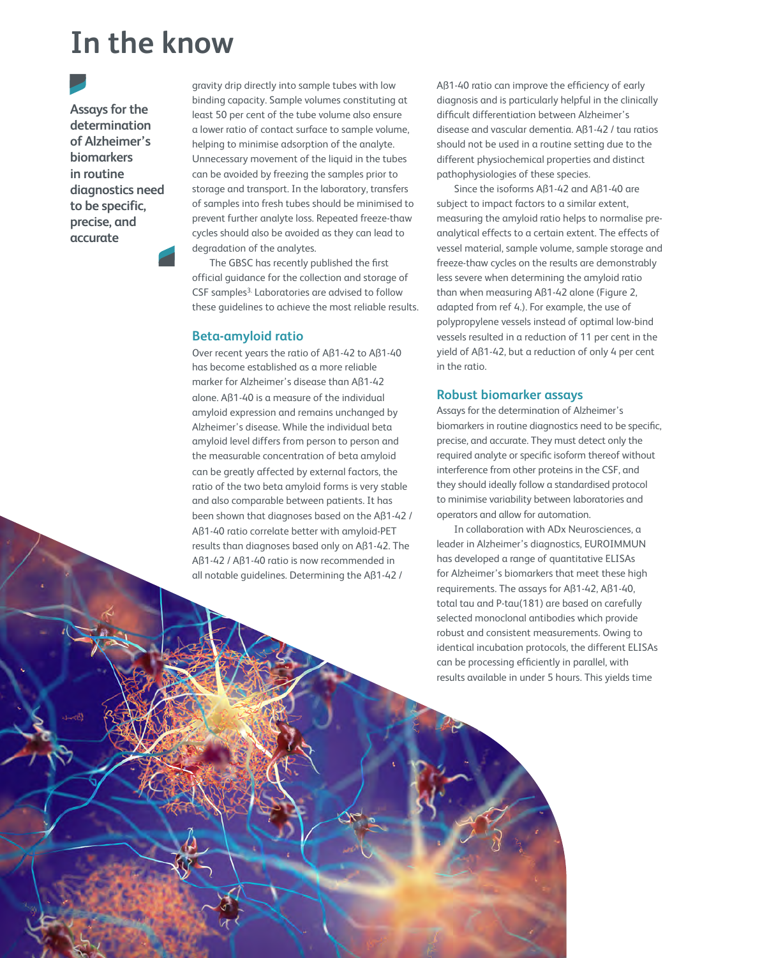## **In the know**

**Assays for the determination of Alzheimer's biomarkers in routine diagnostics need to be specific, precise, and accurate**

122 insights.omnia-health.com

gravity drip directly into sample tubes with low binding capacity. Sample volumes constituting at least 50 per cent of the tube volume also ensure a lower ratio of contact surface to sample volume, helping to minimise adsorption of the analyte. Unnecessary movement of the liquid in the tubes can be avoided by freezing the samples prior to storage and transport. In the laboratory, transfers of samples into fresh tubes should be minimised to prevent further analyte loss. Repeated freeze-thaw cycles should also be avoided as they can lead to degradation of the analytes.

The GBSC has recently published the first official guidance for the collection and storage of CSF samples<sup>3.</sup> Laboratories are advised to follow these guidelines to achieve the most reliable results.

#### **Beta-amyloid ratio**

Over recent years the ratio of Aß1-42 to Aß1-40 has become established as a more reliable marker for Alzheimer's disease than Aß1-42 alone. Aß1-40 is a measure of the individual amyloid expression and remains unchanged by Alzheimer's disease. While the individual beta amyloid level differs from person to person and the measurable concentration of beta amyloid can be greatly affected by external factors, the ratio of the two beta amyloid forms is very stable and also comparable between patients. It has been shown that diagnoses based on the Aß1-42 / Aß1-40 ratio correlate better with amyloid-PET results than diagnoses based only on Aß1-42. The Aß1-42 / Aß1-40 ratio is now recommended in all notable guidelines. Determining the Aß1-42 /

Aß1-40 ratio can improve the efficiency of early diagnosis and is particularly helpful in the clinically difficult differentiation between Alzheimer's disease and vascular dementia. Aß1-42 / tau ratios should not be used in a routine setting due to the different physiochemical properties and distinct pathophysiologies of these species.

Since the isoforms Aß1-42 and Aß1-40 are subject to impact factors to a similar extent, measuring the amyloid ratio helps to normalise preanalytical effects to a certain extent. The effects of vessel material, sample volume, sample storage and freeze-thaw cycles on the results are demonstrably less severe when determining the amyloid ratio than when measuring Aß1-42 alone (Figure 2, adapted from ref 4.). For example, the use of polypropylene vessels instead of optimal low-bind vessels resulted in a reduction of 11 per cent in the yield of Aß1-42, but a reduction of only 4 per cent in the ratio.

#### **Robust biomarker assays**

Assays for the determination of Alzheimer's biomarkers in routine diagnostics need to be specific, precise, and accurate. They must detect only the required analyte or specific isoform thereof without interference from other proteins in the CSF, and they should ideally follow a standardised protocol to minimise variability between laboratories and operators and allow for automation.

In collaboration with ADx Neurosciences, a leader in Alzheimer's diagnostics, EUROIMMUN has developed a range of quantitative ELISAs for Alzheimer's biomarkers that meet these high requirements. The assays for Aß1-42, Aß1-40, total tau and P-tau(181) are based on carefully selected monoclonal antibodies which provide robust and consistent measurements. Owing to identical incubation protocols, the different ELISAs can be processing efficiently in parallel, with results available in under 5 hours. This yields time